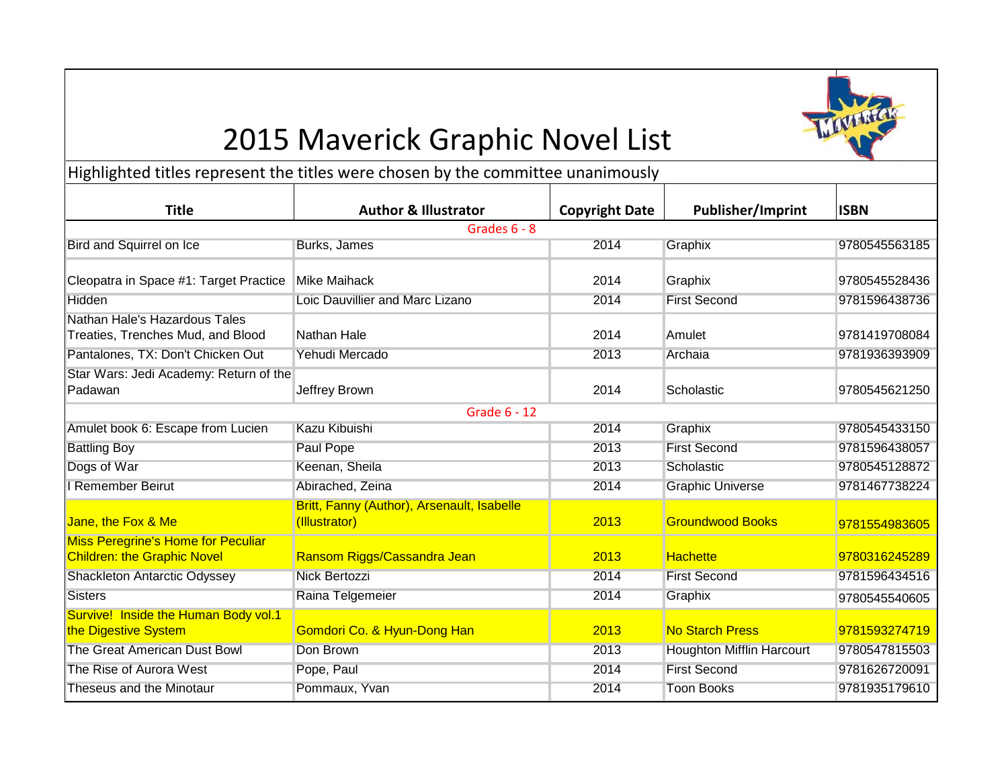## 2015 Maverick Graphic Novel List

Highlighted titles represent the titles were chosen by the committee unanimously

| <b>Title</b>                                                                    | <b>Author &amp; Illustrator</b>                             | <b>Copyright Date</b> | Publisher/Imprint                | <b>ISBN</b>   |  |  |  |
|---------------------------------------------------------------------------------|-------------------------------------------------------------|-----------------------|----------------------------------|---------------|--|--|--|
| Grades 6 - 8                                                                    |                                                             |                       |                                  |               |  |  |  |
| Bird and Squirrel on Ice                                                        | Burks, James                                                | 2014                  | Graphix                          | 9780545563185 |  |  |  |
| Cleopatra in Space #1: Target Practice                                          | Mike Maihack                                                | 2014                  | Graphix                          | 9780545528436 |  |  |  |
| Hidden                                                                          | Loic Dauvillier and Marc Lizano                             | 2014                  | <b>First Second</b>              | 9781596438736 |  |  |  |
| Nathan Hale's Hazardous Tales<br>Treaties, Trenches Mud, and Blood              | Nathan Hale                                                 | 2014                  | Amulet                           | 9781419708084 |  |  |  |
| Pantalones, TX: Don't Chicken Out                                               | Yehudi Mercado                                              | 2013                  | Archaia                          | 9781936393909 |  |  |  |
| Star Wars: Jedi Academy: Return of the<br>Padawan                               | Jeffrey Brown                                               | 2014                  | Scholastic                       | 9780545621250 |  |  |  |
|                                                                                 | Grade 6 - 12                                                |                       |                                  |               |  |  |  |
| Amulet book 6: Escape from Lucien                                               | Kazu Kibuishi                                               | 2014                  | Graphix                          | 9780545433150 |  |  |  |
| <b>Battling Boy</b>                                                             | Paul Pope                                                   | 2013                  | <b>First Second</b>              | 9781596438057 |  |  |  |
| Dogs of War                                                                     | Keenan, Sheila                                              | 2013                  | Scholastic                       | 9780545128872 |  |  |  |
| I Remember Beirut                                                               | Abirached, Zeina                                            | 2014                  | <b>Graphic Universe</b>          | 9781467738224 |  |  |  |
| Jane, the Fox & Me                                                              | Britt, Fanny (Author), Arsenault, Isabelle<br>(Illustrator) | 2013                  | <b>Groundwood Books</b>          | 9781554983605 |  |  |  |
| <b>Miss Peregrine's Home for Peculiar</b><br><b>Children: the Graphic Novel</b> | Ransom Riggs/Cassandra Jean                                 | 2013                  | <b>Hachette</b>                  | 9780316245289 |  |  |  |
| Shackleton Antarctic Odyssey                                                    | <b>Nick Bertozzi</b>                                        | 2014                  | <b>First Second</b>              | 9781596434516 |  |  |  |
| <b>Sisters</b>                                                                  | Raina Telgemeier                                            | 2014                  | Graphix                          | 9780545540605 |  |  |  |
| Survive! Inside the Human Body vol.1<br>the Digestive System                    | Gomdori Co. & Hyun-Dong Han                                 | 2013                  | <b>No Starch Press</b>           | 9781593274719 |  |  |  |
| The Great American Dust Bowl                                                    | Don Brown                                                   | 2013                  | <b>Houghton Mifflin Harcourt</b> | 9780547815503 |  |  |  |
| The Rise of Aurora West                                                         | Pope, Paul                                                  | 2014                  | <b>First Second</b>              | 9781626720091 |  |  |  |
| Theseus and the Minotaur                                                        | Pommaux, Yvan                                               | 2014                  | <b>Toon Books</b>                | 9781935179610 |  |  |  |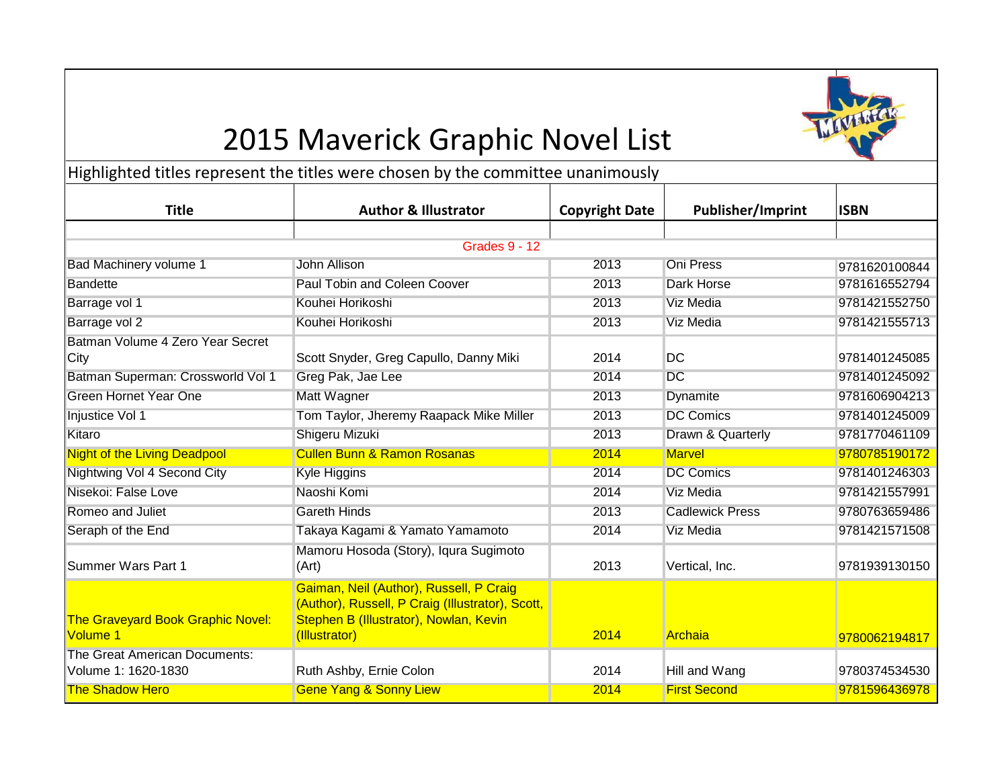# 2015 Maverick Graphic Novel List



Highlighted titles represent the titles were chosen by the committee unanimously

| <b>Title</b>                                         | <b>Author &amp; Illustrator</b>                                                                                                                        | <b>Copyright Date</b> | <b>Publisher/Imprint</b> | <b>ISBN</b>   |  |  |  |
|------------------------------------------------------|--------------------------------------------------------------------------------------------------------------------------------------------------------|-----------------------|--------------------------|---------------|--|--|--|
|                                                      |                                                                                                                                                        |                       |                          |               |  |  |  |
| <b>Grades 9 - 12</b>                                 |                                                                                                                                                        |                       |                          |               |  |  |  |
| <b>Bad Machinery volume 1</b>                        | John Allison                                                                                                                                           | 2013                  | <b>Oni Press</b>         | 9781620100844 |  |  |  |
| <b>Bandette</b>                                      | Paul Tobin and Coleen Coover                                                                                                                           | 2013                  | Dark Horse               | 9781616552794 |  |  |  |
| Barrage vol 1                                        | Kouhei Horikoshi                                                                                                                                       | 2013                  | Viz Media                | 9781421552750 |  |  |  |
| Barrage vol 2                                        | Kouhei Horikoshi                                                                                                                                       | 2013                  | <b>Viz Media</b>         | 9781421555713 |  |  |  |
| Batman Volume 4 Zero Year Secret                     |                                                                                                                                                        |                       |                          |               |  |  |  |
| City                                                 | Scott Snyder, Greg Capullo, Danny Miki                                                                                                                 | 2014                  | DC                       | 9781401245085 |  |  |  |
| Batman Superman: Crossworld Vol 1                    | Greg Pak, Jae Lee                                                                                                                                      | 2014                  | <b>DC</b>                | 9781401245092 |  |  |  |
| <b>Green Hornet Year One</b>                         | Matt Wagner                                                                                                                                            | 2013                  | Dynamite                 | 9781606904213 |  |  |  |
| Injustice Vol 1                                      | Tom Taylor, Jheremy Raapack Mike Miller                                                                                                                | 2013                  | <b>DC Comics</b>         | 9781401245009 |  |  |  |
| Kitaro                                               | Shigeru Mizuki                                                                                                                                         | 2013                  | Drawn & Quarterly        | 9781770461109 |  |  |  |
| <b>Night of the Living Deadpool</b>                  | <b>Cullen Bunn &amp; Ramon Rosanas</b>                                                                                                                 | 2014                  | <b>Marvel</b>            | 9780785190172 |  |  |  |
| Nightwing Vol 4 Second City                          | Kyle Higgins                                                                                                                                           | 2014                  | <b>DC Comics</b>         | 9781401246303 |  |  |  |
| Nisekoi: False Love                                  | Naoshi Komi                                                                                                                                            | 2014                  | <b>Viz Media</b>         | 9781421557991 |  |  |  |
| Romeo and Juliet                                     | <b>Gareth Hinds</b>                                                                                                                                    | 2013                  | <b>Cadlewick Press</b>   | 9780763659486 |  |  |  |
| Seraph of the End                                    | Takaya Kagami & Yamato Yamamoto                                                                                                                        | 2014                  | <b>Viz Media</b>         | 9781421571508 |  |  |  |
| <b>I</b> Summer Wars Part 1                          | Mamoru Hosoda (Story), Iqura Sugimoto<br>(Art)                                                                                                         | 2013                  | Vertical, Inc.           | 9781939130150 |  |  |  |
| <b>The Graveyard Book Graphic Novel:</b><br>Volume 1 | Gaiman, Neil (Author), Russell, P Craig<br>(Author), Russell, P Craig (Illustrator), Scott,<br>Stephen B (Illustrator), Nowlan, Kevin<br>(Illustrator) | 2014                  | Archaia                  | 9780062194817 |  |  |  |
| The Great American Documents:<br>Volume 1: 1620-1830 | Ruth Ashby, Ernie Colon                                                                                                                                | 2014                  | Hill and Wang            | 9780374534530 |  |  |  |
| <b>The Shadow Hero</b>                               | <b>Gene Yang &amp; Sonny Liew</b>                                                                                                                      | 2014                  | <b>First Second</b>      | 9781596436978 |  |  |  |